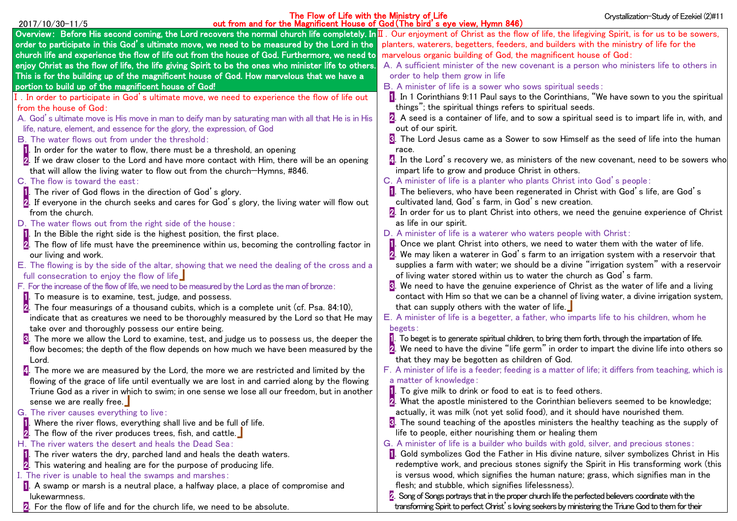| The Flow of Life with the Ministry of Life<br>out from and for the Magnificent House of God (The bird's eye view, Hymn 846)<br>2017/10/30-11/5                                              | Crystallization-Study of Ezekiel (2)#11                                                                                                     |
|---------------------------------------------------------------------------------------------------------------------------------------------------------------------------------------------|---------------------------------------------------------------------------------------------------------------------------------------------|
| Overview: Before His second coming, the Lord recovers the normal church life completely. In II. Our enjoyment of Christ as the flow of life, the lifegiving Spirit, is for us to be sowers, |                                                                                                                                             |
| order to participate in this God's ultimate move, we need to be measured by the Lord in the                                                                                                 | planters, waterers, begetters, feeders, and builders with the ministry of life for the                                                      |
| church life and experience the flow of life out from the house of God. Furthermore, we need to                                                                                              | marvelous organic building of God, the magnificent house of God:                                                                            |
| enjoy Christ as the flow of life, the life giving Spirit to be the ones who minister life to others.                                                                                        | A. A sufficient minister of the new covenant is a person who ministers life to others in                                                    |
| This is for the building up of the magnificent house of God. How marvelous that we have a                                                                                                   | order to help them grow in life                                                                                                             |
| portion to build up of the magnificent house of God!                                                                                                                                        | B. A minister of life is a sower who sows spiritual seeds:                                                                                  |
| I. In order to participate in God's ultimate move, we need to experience the flow of life out                                                                                               | 1. In 1 Corinthians 9:11 Paul says to the Corinthians, "We have sown to you the spiritual                                                   |
| from the house of God:                                                                                                                                                                      | things"; the spiritual things refers to spiritual seeds.                                                                                    |
| A. God's ultimate move is His move in man to deify man by saturating man with all that He is in His                                                                                         | 2. A seed is a container of life, and to sow a spiritual seed is to impart life in, with, and                                               |
| life, nature, element, and essence for the glory, the expression, of God                                                                                                                    | out of our spirit.                                                                                                                          |
| B. The water flows out from under the threshold:                                                                                                                                            | The Lord Jesus came as a Sower to sow Himself as the seed of life into the human                                                            |
| <b>1.</b> In order for the water to flow, there must be a threshold, an opening                                                                                                             | race.                                                                                                                                       |
| If we draw closer to the Lord and have more contact with Him, there will be an opening                                                                                                      | 4. In the Lord's recovery we, as ministers of the new covenant, need to be sowers who                                                       |
| that will allow the living water to flow out from the church-Hymns, #846.                                                                                                                   | impart life to grow and produce Christ in others.                                                                                           |
| C. The flow is toward the east:                                                                                                                                                             | C. A minister of life is a planter who plants Christ into God's people:                                                                     |
| <b>1</b> . The river of God flows in the direction of God's glory.                                                                                                                          | 1. The believers, who have been regenerated in Christ with God's life, are God's                                                            |
| 2. If everyone in the church seeks and cares for God's glory, the living water will flow out                                                                                                | cultivated land, God's farm, in God's new creation.                                                                                         |
| from the church.                                                                                                                                                                            | $2$ . In order for us to plant Christ into others, we need the genuine experience of Christ                                                 |
| D. The water flows out from the right side of the house:                                                                                                                                    | as life in our spirit.                                                                                                                      |
| <b>1.</b> In the Bible the right side is the highest position, the first place.                                                                                                             | D. A minister of life is a waterer who waters people with Christ:                                                                           |
| The flow of life must have the preeminence within us, becoming the controlling factor in                                                                                                    | Once we plant Christ into others, we need to water them with the water of life.                                                             |
| our living and work.                                                                                                                                                                        | We may liken a waterer in God's farm to an irrigation system with a reservoir that                                                          |
| E. The flowing is by the side of the altar, showing that we need the dealing of the cross and a                                                                                             | supplies a farm with water; we should be a divine "irrigation system" with a reservoir                                                      |
| full consecration to enjoy the flow of life                                                                                                                                                 | of living water stored within us to water the church as God's farm.                                                                         |
| F. For the increase of the flow of life, we need to be measured by the Lord as the man of bronze:                                                                                           | <b>S</b> . We need to have the genuine experience of Christ as the water of life and a living                                               |
| <b>1.</b> To measure is to examine, test, judge, and possess.<br>The four measurings of a thousand cubits, which is a complete unit (cf. Psa. 84:10),                                       | contact with Him so that we can be a channel of living water, a divine irrigation system,<br>that can supply others with the water of life. |
| indicate that as creatures we need to be thoroughly measured by the Lord so that He may                                                                                                     | E. A minister of life is a begetter, a father, who imparts life to his children, whom he                                                    |
| take over and thoroughly possess our entire being.                                                                                                                                          | begets:                                                                                                                                     |
| $\mathbf{E}$ . The more we allow the Lord to examine, test, and judge us to possess us, the deeper the                                                                                      | To beget is to generate spiritual children, to bring them forth, through the impartation of life.                                           |
| flow becomes; the depth of the flow depends on how much we have been measured by the                                                                                                        | $2$ . We need to have the divine "life germ" in order to impart the divine life into others so                                              |
| Lord.                                                                                                                                                                                       | that they may be begotten as children of God.                                                                                               |
| 4. The more we are measured by the Lord, the more we are restricted and limited by the                                                                                                      | F. A minister of life is a feeder; feeding is a matter of life; it differs from teaching, which is                                          |
| flowing of the grace of life until eventually we are lost in and carried along by the flowing                                                                                               | a matter of knowledge:                                                                                                                      |
| Triune God as a river in which to swim; in one sense we lose all our freedom, but in another                                                                                                | To give milk to drink or food to eat is to feed others.                                                                                     |
| sense we are really free.                                                                                                                                                                   | D<br>What the apostle ministered to the Corinthian believers seemed to be knowledge;                                                        |
| G. The river causes everything to live:                                                                                                                                                     | actually, it was milk (not yet solid food), and it should have nourished them.                                                              |
| I. Where the river flows, everything shall live and be full of life.                                                                                                                        | <b>B</b> . The sound teaching of the apostles ministers the healthy teaching as the supply of                                               |
| The flow of the river produces trees, fish, and cattle.                                                                                                                                     | life to people, either nourishing them or healing them                                                                                      |
| H. The river waters the desert and heals the Dead Sea:                                                                                                                                      | G. A minister of life is a builder who builds with gold, silver, and precious stones:                                                       |
| <b>1.</b> The river waters the dry, parched land and heals the death waters.                                                                                                                | 1. Gold symbolizes God the Father in His divine nature, silver symbolizes Christ in His                                                     |
| This watering and healing are for the purpose of producing life.                                                                                                                            | redemptive work, and precious stones signify the Spirit in His transforming work (this                                                      |
| I. The river is unable to heal the swamps and marshes:                                                                                                                                      | is versus wood, which signifies the human nature; grass, which signifies man in the                                                         |
| 1. A swamp or marsh is a neutral place, a halfway place, a place of compromise and                                                                                                          | flesh; and stubble, which signifies lifelessness).                                                                                          |
| lukewarmness.                                                                                                                                                                               | $\mathbb Z$ . Song of Songs portrays that in the proper church life the perfected believers coordinate with the                             |
| 2. For the flow of life and for the church life, we need to be absolute.                                                                                                                    | transforming Spirit to perfect Christ's loving seekers by ministering the Triune God to them for their                                      |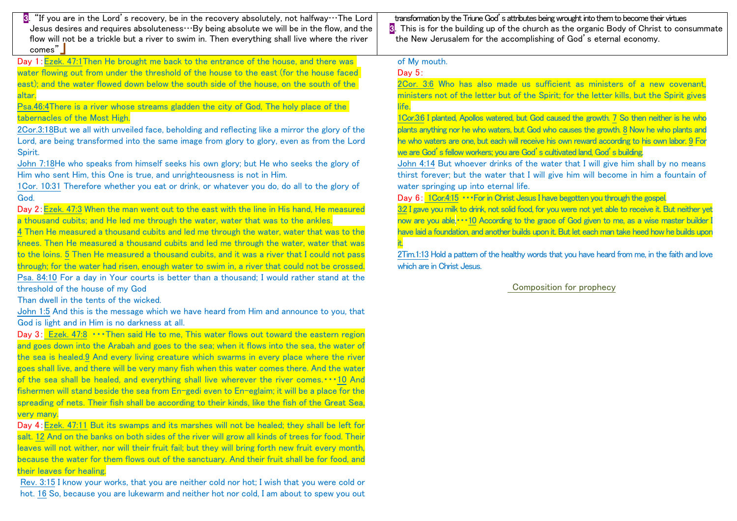3."If you are in the Lord's recovery, be in the recovery absolutely, not halfway…The Lord Jesus desires and requires absoluteness $\cdots$ By being absolute we will be in the flow, and the flow will not be a trickle but a river to swim in. Then everything shall live where the river comes"」

Day 1:Ezek. 47:1Then He brought me back to the entrance of the house, and there was water flowing out from under the threshold of the house to the east (for the house faced east); and the water flowed down below the south side of the house, on the south of the altar.

Psa.46:4There is a river whose streams gladden the city of God, The holy place of the tabernacles of the Most High.

2Cor.3:18But we all with unveiled face, beholding and reflecting like a mirror the glory of the Lord, are being transformed into the same image from glory to glory, even as from the Lord Spirit.

John 7:18He who speaks from himself seeks his own glory; but He who seeks the glory of Him who sent Him, this One is true, and unrighteousness is not in Him.

1Cor. 10:31 Therefore whether you eat or drink, or whatever you do, do all to the glory of God.

Day 2: Ezek. 47:3 When the man went out to the east with the line in His hand. He measured a thousand cubits; and He led me through the water, water that was to the ankles.

4 Then He measured a thousand cubits and led me through the water, water that was to the knees. Then He measured a thousand cubits and led me through the water, water that was to the loins. 5 Then He measured a thousand cubits, and it was a river that I could not pass through; for the water had risen, enough water to swim in, a river that could not be crossed. Psa. 84:10 For a day in Your courts is better than a thousand; I would rather stand at the threshold of the house of my God

Than dwell in the tents of the wicked.

John 1:5 And this is the message which we have heard from Him and announce to you, that God is light and in Him is no darkness at all.

Day 3: Ezek. 47:8  $\cdots$ Then said He to me. This water flows out toward the eastern region and goes down into the Arabah and goes to the sea; when it flows into the sea, the water of the sea is healed.9 And every living creature which swarms in every place where the river goes shall live, and there will be very many fish when this water comes there. And the water of the sea shall be healed, and everything shall live wherever the river comes.・・・10 And fishermen will stand beside the sea from En-gedi even to En-eglaim; it will be a place for the spreading of nets. Their fish shall be according to their kinds, like the fish of the Great Sea very many.

Day 4: Ezek. 47:11 But its swamps and its marshes will not be healed; they shall be left for salt. 12 And on the banks on both sides of the river will grow all kinds of trees for food. Their leaves will not wither, nor will their fruit fail; but they will bring forth new fruit every month because the water for them flows out of the sanctuary. And their fruit shall be for food, and their leaves for healing.

Rev. 3:15 I know your works, that you are neither cold nor hot; I wish that you were cold or hot. 16 So, because you are lukewarm and neither hot nor cold, I am about to spew you out

transformation by the Triune God's attributes being wrought into them to become their virtues  $\overline{3}$ . This is for the building up of the church as the organic Body of Christ to consummate the New Jerusalem for the accomplishing of God's eternal economy.

## of My mouth.

# Day 5:

2Cor. 3:6 Who has also made us sufficient as ministers of a new covenant, ministers not of the letter but of the Spirit; for the letter kills, but the Spirit gives life.

1Cor.3:6 I planted, Apollos watered, but God caused the growth. 7 So then neither is he who plants anything nor he who waters, but God who causes the growth. 8 Now he who plants and he who waters are one, but each will receive his own reward according to his own labor. 9 For we are God's fellow workers; you are God's cultivated land, God's building.

John 4:14 But whoever drinks of the water that I will give him shall by no means thirst forever; but the water that I will give him will become in him a fountain of water springing up into eternal life.

Day 6: 1Cor.4:15 ••• For in Christ Jesus I have begotten you through the gospel.

3:2 I gave you milk to drink, not solid food, for you were not yet able to receive it. But neither yet now are you able, ••• 10 According to the grace of God given to me, as a wise master builder have laid a foundation, and another builds upon it. But let each man take heed how he builds upon it.

2Tim.1:13 Hold a pattern of the healthy words that you have heard from me, in the faith and love which are in Christ, Jesus.

## Composition for prophecy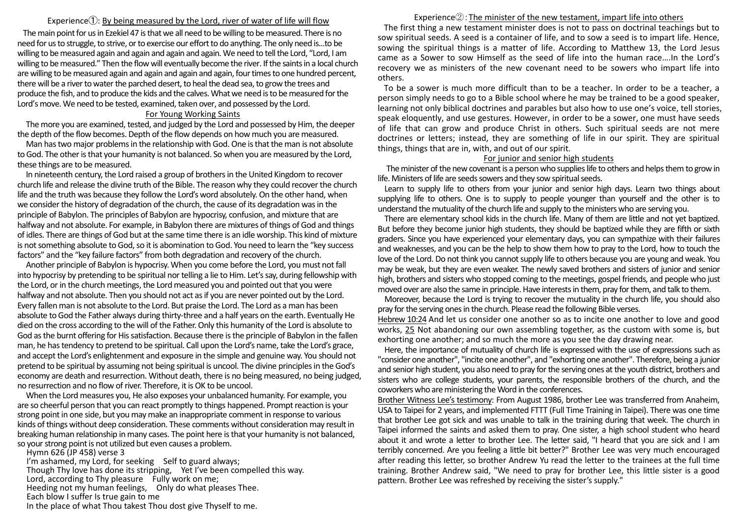#### Experience $(1)$ : By being measured by the Lord, river of water of life will flow

The main point for us in Ezekiel 47 is that we all need to be willing to be measured. There is no need for us to struggle, to strive, or to exercise our effort to do anything. The only need is...to be willing to be measured again and again and again and again. We need to tell the Lord, "Lord, I am willing to be measured." Then the flow will eventually become the river. If the saints in a local church are willing to be measured again and again and again and again, four times to one hundred percent, there will be a river to water the parched desert, to heal the dead sea, to grow the trees and produce the fish, and to produce the kids and the calves. What we need is to be measured for the Lord's move. We need to be tested, examined, taken over, and possessed by the Lord.

#### For Young Working Saints

The more you are examined, tested, and judged by the Lord and possessed by Him, the deeper the depth of the flow becomes. Depth of the flow depends on how much you are measured.

Man has two major problems in the relationship with God. One is that the man is not absolute to God. The other is that your humanity is not balanced. So when you are measured by the Lord, these things are to be measured.

In nineteenth century, the Lord raised a group of brothers in the United Kingdom to recover church life and release the divine truth of the Bible. The reason why they could recover the church life and the truth was because they follow the Lord's word absolutely. On the other hand, when we consider the history of degradation of the church, the cause of its degradation was in the principle of Babylon. The principles of Babylon are hypocrisy, confusion, and mixture that are halfway and not absolute. For example, in Babylon there are mixtures of things of God and things of idles. There are things of God but at the same time there is an idle worship. This kind of mixture is not something absolute to God, so it is abomination to God. You need to learn the "key success factors" and the "key failure factors" from both degradation and recovery of the church.

Another principle of Babylon is hypocrisy. When you come before the Lord, you must not fall into hypocrisy by pretending to be spiritual nor telling a lie to Him. Let's say, during fellowship with the Lord, or in the church meetings, the Lord measured you and pointed out that you were halfway and not absolute. Then you should not act as if you are never pointed out by the Lord. Every fallen man is not absolute to the Lord. But praise the Lord. The Lord as a man has been absolute to God the Father always during thirty-three and a half years on the earth. Eventually He died on the cross according to the will of the Father.Only this humanity of the Lord is absolute to God as the burnt offering for His satisfaction. Because there is the principle of Babylon in the fallen man, he has tendency to pretend to be spiritual. Call upon the Lord's name, take the Lord's grace, and accept the Lord's enlightenment and exposure in the simple and genuine way. You should not pretend to be spiritual by assuming not being spiritual is uncool. The divine principles in the God's economy are death and resurrection. Without death, there is no being measured, no being judged, no resurrection and no flow of river. Therefore, it is OK to be uncool.

When the Lord measures you, He also exposes your unbalanced humanity. For example, you are so cheerful person that you can react promptly to things happened. Prompt reaction is your strong point in one side, but you may make an inappropriate comment in response to various kinds of things without deep consideration. These comments without consideration may result in breaking human relationship in many cases. The point here is that your humanity is not balanced, so your strong point is not utilized but even causes a problem.

Hymn 626 (JP 458) verse 3 I'm ashamed, my Lord, for seeking Self to guard always; Though Thy love has done its stripping, Yet I've been compelled this way. Lord, according to Thy pleasure Fully work on me; Heeding not my human feelings, Only do what pleases Thee. Each blow I suffer Is true gain to me In the place of what Thou takest Thou dost give Thyself to me.

## Experience $\mathcal{D}$ : The minister of the new testament, impart life into others

The first thing a new testament minister does is not to pass on doctrinal teachings but to sow spiritual seeds. A seed is a container of life, and to sow a seed is to impart life. Hence, sowing the spiritual things is a matter of life. According to Matthew 13, the Lord Jesus came as a Sower to sow Himself as the seed of life into the human race….In the Lord's recovery we as ministers of the new covenant need to be sowers who impart life into others.

To be a sower is much more difficult than to be a teacher. In order to be a teacher, a person simply needs to go to a Bible school where he may be trained to be a good speaker, learning not only biblical doctrines and parables but also how to use one's voice, tell stories, speak eloquently, and use gestures. However, in order to be a sower, one must have seeds of life that can grow and produce Christ in others. Such spiritual seeds are not mere doctrines or letters; instead, they are something of life in our spirit. They are spiritual things, things that are in, with, and out of our spirit.

### For junior and senior high students

The minister of the new covenant is a person who supplies life to others and helps them to grow in life. Ministers of life are seeds sowers and they sow spiritual seeds.

Learn to supply life to others from your junior and senior high days. Learn two things about supplying life to others. One is to supply to people younger than yourself and the other is to understand the mutuality of the church life and supply to the ministers who are serving you.

There are elementary school kids in the church life. Many of them are little and not yet baptized. But before they become junior high students, they should be baptized while they are fifth or sixth graders. Since you have experienced your elementary days, you can sympathize with their failures and weaknesses, and you can be the help to show them how to pray to the Lord, how to touch the love of the Lord. Do not think you cannot supply life to others because you are young and weak. You may be weak, but they are even weaker. The newly saved brothers and sisters of junior and senior high, brothers and sisters who stopped coming to the meetings, gospel friends, and people who just moved over are also the same in principle. Have interests in them, pray for them, and talk to them.

Moreover, because the Lord is trying to recover the mutuality in the church life, you should also pray for the serving ones in the church. Please read the following Bible verses.

Hebrew 10:24 And let us consider one another so as to incite one another to love and good works, 25 Not abandoning our own assembling together, as the custom with some is, but exhorting one another; and so much the more as you see the day drawing near.

Here, the importance of mutuality of church life is expressed with the use of expressions such as "consider one another", "incite one another", and "exhorting one another". Therefore, being a junior and senior high student, you also need to pray for the serving ones at the youth district, brothers and sisters who are college students, your parents, the responsible brothers of the church, and the coworkers who are ministering the Word in the conferences.

Brother Witness Lee's testimony: From August 1986, brother Lee was transferred from Anaheim, USA to Taipei for 2 years, and implemented FTTT (Full Time Training in Taipei). There was one time that brother Lee got sick and was unable to talk in the training during that week. The church in Taipei informed the saints and asked them to pray. One sister, a high school student who heard about it and wrote a letter to brother Lee. The letter said, "I heard that you are sick and I am terribly concerned. Are you feeling a little bit better?" Brother Lee was very much encouraged after reading this letter, so brother Andrew Yu read the letter to the trainees at the full time training. Brother Andrew said, "We need to pray for brother Lee, this little sister is a good pattern. Brother Lee was refreshed by receiving the sister's supply."